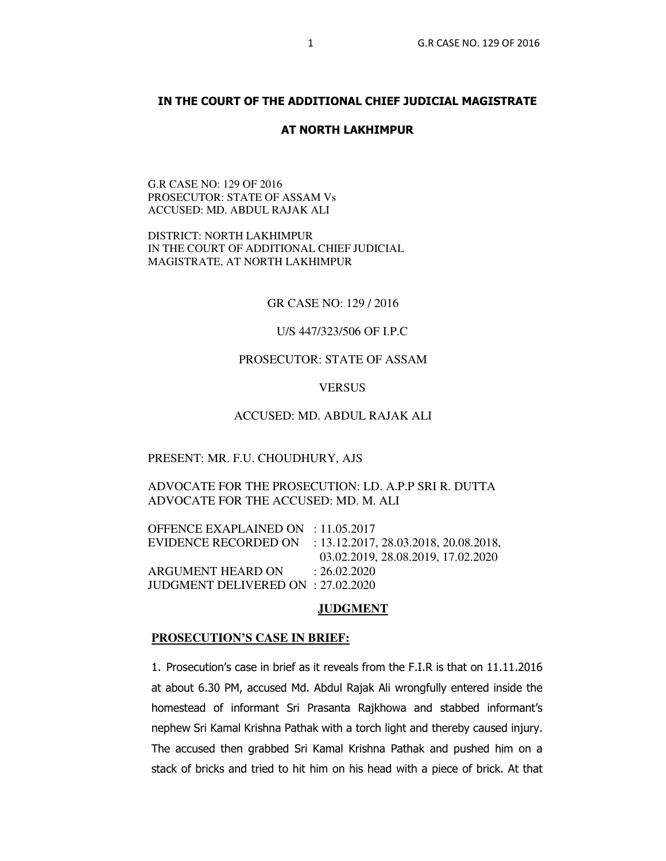## **IN THE COURT OF THE ADDITIONAL CHIEF JUDICIAL MAGISTRATE**

#### **AT NORTH LAKHIMPUR**

G.R CASE NO: 129 OF 2016 PROSECUTOR: STATE OF ASSAM Vs ACCUSED: MD. ABDUL RAJAK ALI

DISTRICT: NORTH LAKHIMPUR IN THE COURT OF ADDITIONAL CHIEF JUDICIAL MAGISTRATE, AT NORTH LAKHIMPUR

GR CASE NO: 129 / 2016

U/S 447/323/506 OF I.P.C

# PROSECUTOR: STATE OF ASSAM

**VERSUS** 

### ACCUSED: MD. ABDUL RAJAK ALI

#### PRESENT: MR. F.U. CHOUDHURY, AJS

# ADVOCATE FOR THE PROSECUTION: LD. A.P.P SRI R. DUTTA ADVOCATE FOR THE ACCUSED: MD. M. ALI

OFFENCE EXAPLAINED ON : 11.05.2017 EVIDENCE RECORDED ON : 13.12.2017, 28.03.2018, 20.08.2018, 03.02.2019, 28.08.2019, 17.02.2020 ARGUMENT HEARD ON : 26.02.2020 JUDGMENT DELIVERED ON : 27.02.2020

### **JUDGMENT**

#### **PROSECUTION'S CASE IN BRIEF:**

1. Prosecution's case in brief as it reveals from the F.I.R is that on 11.11.2016 at about 6.30 PM, accused Md. Abdul Rajak Ali wrongfully entered inside the homestead of informant Sri Prasanta Rajkhowa and stabbed informant's nephew Sri Kamal Krishna Pathak with a torch light and thereby caused injury. The accused then grabbed Sri Kamal Krishna Pathak and pushed him on a stack of bricks and tried to hit him on his head with a piece of brick. At that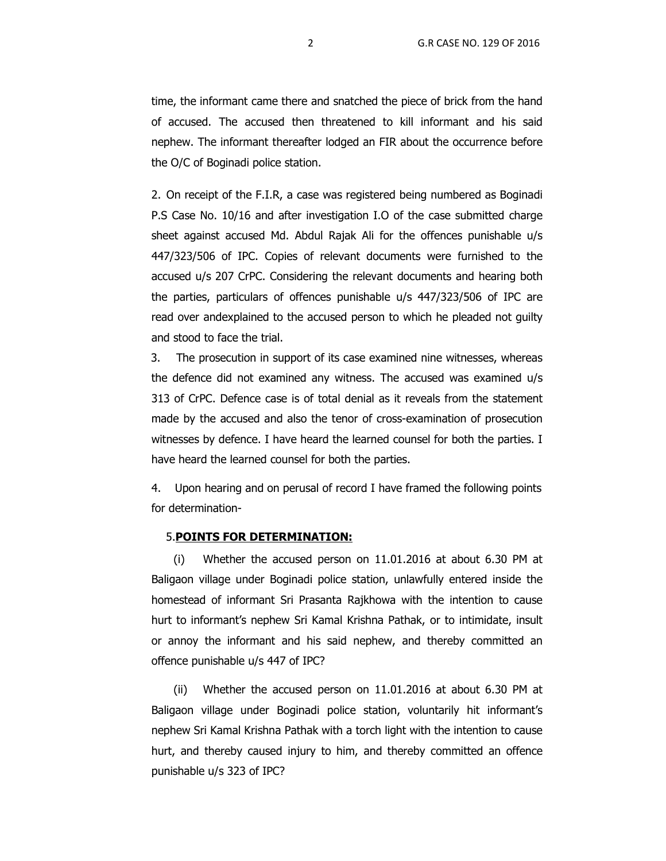time, the informant came there and snatched the piece of brick from the hand of accused. The accused then threatened to kill informant and his said nephew. The informant thereafter lodged an FIR about the occurrence before the O/C of Boginadi police station.

2. On receipt of the F.I.R, a case was registered being numbered as Boginadi P.S Case No. 10/16 and after investigation I.O of the case submitted charge sheet against accused Md. Abdul Rajak Ali for the offences punishable u/s 447/323/506 of IPC. Copies of relevant documents were furnished to the accused u/s 207 CrPC. Considering the relevant documents and hearing both the parties, particulars of offences punishable u/s 447/323/506 of IPC are read over andexplained to the accused person to which he pleaded not guilty and stood to face the trial.

 3. The prosecution in support of its case examined nine witnesses, whereas the defence did not examined any witness. The accused was examined u/s 313 of CrPC. Defence case is of total denial as it reveals from the statement made by the accused and also the tenor of cross-examination of prosecution witnesses by defence. I have heard the learned counsel for both the parties. I have heard the learned counsel for both the parties.

4. Upon hearing and on perusal of record I have framed the following points for determination-

### 5.**POINTS FOR DETERMINATION:**

(i) Whether the accused person on 11.01.2016 at about 6.30 PM at Baligaon village under Boginadi police station, unlawfully entered inside the homestead of informant Sri Prasanta Rajkhowa with the intention to cause hurt to informant's nephew Sri Kamal Krishna Pathak, or to intimidate, insult or annoy the informant and his said nephew, and thereby committed an offence punishable u/s 447 of IPC?

(ii) Whether the accused person on 11.01.2016 at about 6.30 PM at Baligaon village under Boginadi police station, voluntarily hit informant's nephew Sri Kamal Krishna Pathak with a torch light with the intention to cause hurt, and thereby caused injury to him, and thereby committed an offence punishable u/s 323 of IPC?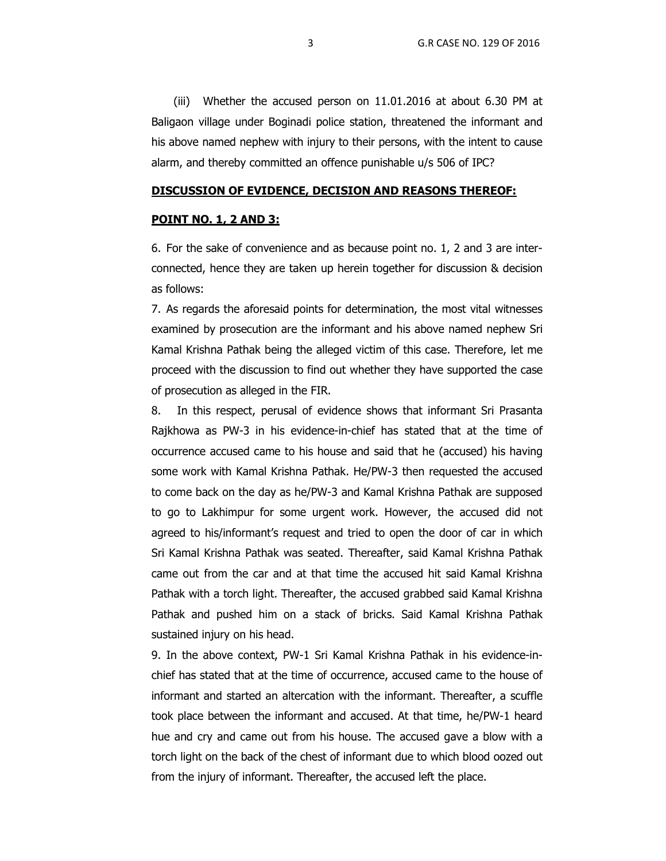(iii) Whether the accused person on 11.01.2016 at about 6.30 PM at Baligaon village under Boginadi police station, threatened the informant and his above named nephew with injury to their persons, with the intent to cause alarm, and thereby committed an offence punishable u/s 506 of IPC?

### **DISCUSSION OF EVIDENCE, DECISION AND REASONS THEREOF:**

#### **POINT NO. 1, 2 AND 3:**

6. For the sake of convenience and as because point no. 1, 2 and 3 are interconnected, hence they are taken up herein together for discussion & decision as follows:

7. As regards the aforesaid points for determination, the most vital witnesses examined by prosecution are the informant and his above named nephew Sri Kamal Krishna Pathak being the alleged victim of this case. Therefore, let me proceed with the discussion to find out whether they have supported the case of prosecution as alleged in the FIR.

8. In this respect, perusal of evidence shows that informant Sri Prasanta Rajkhowa as PW-3 in his evidence-in-chief has stated that at the time of occurrence accused came to his house and said that he (accused) his having some work with Kamal Krishna Pathak. He/PW-3 then requested the accused to come back on the day as he/PW-3 and Kamal Krishna Pathak are supposed to go to Lakhimpur for some urgent work. However, the accused did not agreed to his/informant's request and tried to open the door of car in which Sri Kamal Krishna Pathak was seated. Thereafter, said Kamal Krishna Pathak came out from the car and at that time the accused hit said Kamal Krishna Pathak with a torch light. Thereafter, the accused grabbed said Kamal Krishna Pathak and pushed him on a stack of bricks. Said Kamal Krishna Pathak sustained injury on his head.

9. In the above context, PW-1 Sri Kamal Krishna Pathak in his evidence-inchief has stated that at the time of occurrence, accused came to the house of informant and started an altercation with the informant. Thereafter, a scuffle took place between the informant and accused. At that time, he/PW-1 heard hue and cry and came out from his house. The accused gave a blow with a torch light on the back of the chest of informant due to which blood oozed out from the injury of informant. Thereafter, the accused left the place.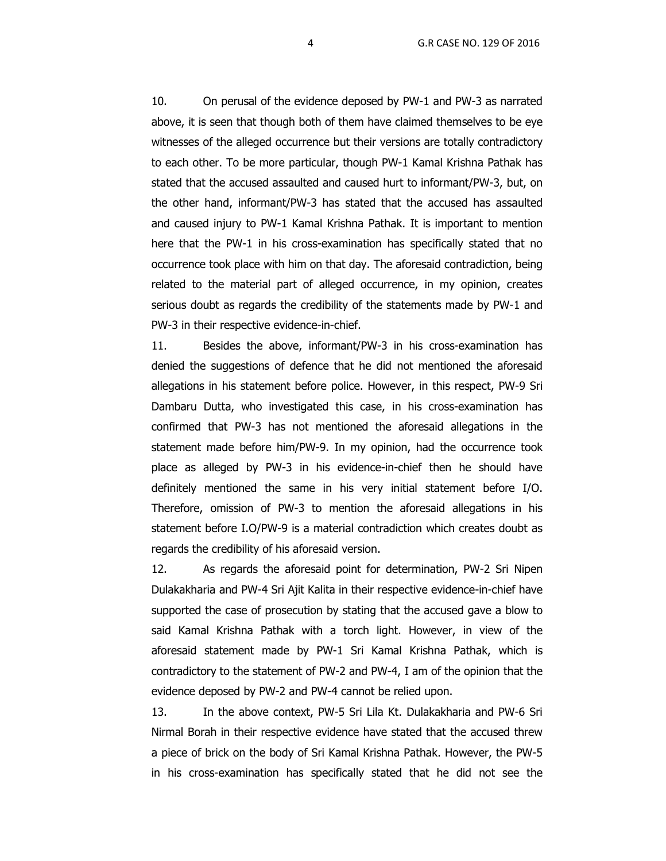10. On perusal of the evidence deposed by PW-1 and PW-3 as narrated above, it is seen that though both of them have claimed themselves to be eye witnesses of the alleged occurrence but their versions are totally contradictory to each other. To be more particular, though PW-1 Kamal Krishna Pathak has stated that the accused assaulted and caused hurt to informant/PW-3, but, on the other hand, informant/PW-3 has stated that the accused has assaulted and caused injury to PW-1 Kamal Krishna Pathak. It is important to mention here that the PW-1 in his cross-examination has specifically stated that no occurrence took place with him on that day. The aforesaid contradiction, being related to the material part of alleged occurrence, in my opinion, creates serious doubt as regards the credibility of the statements made by PW-1 and PW-3 in their respective evidence-in-chief.

11. Besides the above, informant/PW-3 in his cross-examination has denied the suggestions of defence that he did not mentioned the aforesaid allegations in his statement before police. However, in this respect, PW-9 Sri Dambaru Dutta, who investigated this case, in his cross-examination has confirmed that PW-3 has not mentioned the aforesaid allegations in the statement made before him/PW-9. In my opinion, had the occurrence took place as alleged by PW-3 in his evidence-in-chief then he should have definitely mentioned the same in his very initial statement before I/O. Therefore, omission of PW-3 to mention the aforesaid allegations in his statement before I.O/PW-9 is a material contradiction which creates doubt as regards the credibility of his aforesaid version.

12. As regards the aforesaid point for determination, PW-2 Sri Nipen Dulakakharia and PW-4 Sri Ajit Kalita in their respective evidence-in-chief have supported the case of prosecution by stating that the accused gave a blow to said Kamal Krishna Pathak with a torch light. However, in view of the aforesaid statement made by PW-1 Sri Kamal Krishna Pathak, which is contradictory to the statement of PW-2 and PW-4, I am of the opinion that the evidence deposed by PW-2 and PW-4 cannot be relied upon.

13. In the above context, PW-5 Sri Lila Kt. Dulakakharia and PW-6 Sri Nirmal Borah in their respective evidence have stated that the accused threw a piece of brick on the body of Sri Kamal Krishna Pathak. However, the PW-5 in his cross-examination has specifically stated that he did not see the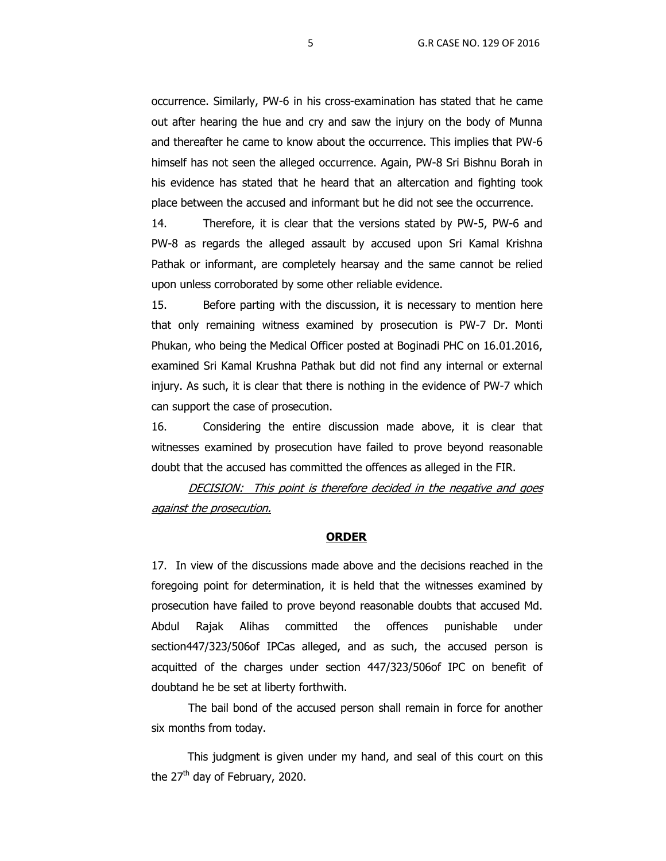occurrence. Similarly, PW-6 in his cross-examination has stated that he came out after hearing the hue and cry and saw the injury on the body of Munna and thereafter he came to know about the occurrence. This implies that PW-6 himself has not seen the alleged occurrence. Again, PW-8 Sri Bishnu Borah in his evidence has stated that he heard that an altercation and fighting took place between the accused and informant but he did not see the occurrence.

14. Therefore, it is clear that the versions stated by PW-5, PW-6 and PW-8 as regards the alleged assault by accused upon Sri Kamal Krishna Pathak or informant, are completely hearsay and the same cannot be relied upon unless corroborated by some other reliable evidence.

15. Before parting with the discussion, it is necessary to mention here that only remaining witness examined by prosecution is PW-7 Dr. Monti Phukan, who being the Medical Officer posted at Boginadi PHC on 16.01.2016, examined Sri Kamal Krushna Pathak but did not find any internal or external injury. As such, it is clear that there is nothing in the evidence of PW-7 which can support the case of prosecution.

16. Considering the entire discussion made above, it is clear that witnesses examined by prosecution have failed to prove beyond reasonable doubt that the accused has committed the offences as alleged in the FIR.

DECISION: This point is therefore decided in the negative and goes against the prosecution.

### **ORDER**

17. In view of the discussions made above and the decisions reached in the foregoing point for determination, it is held that the witnesses examined by prosecution have failed to prove beyond reasonable doubts that accused Md. Abdul Rajak Alihas committed the offences punishable under section447/323/506of IPCas alleged, and as such, the accused person is acquitted of the charges under section 447/323/506of IPC on benefit of doubtand he be set at liberty forthwith.

The bail bond of the accused person shall remain in force for another six months from today.

 This judgment is given under my hand, and seal of this court on this the  $27<sup>th</sup>$  day of February, 2020.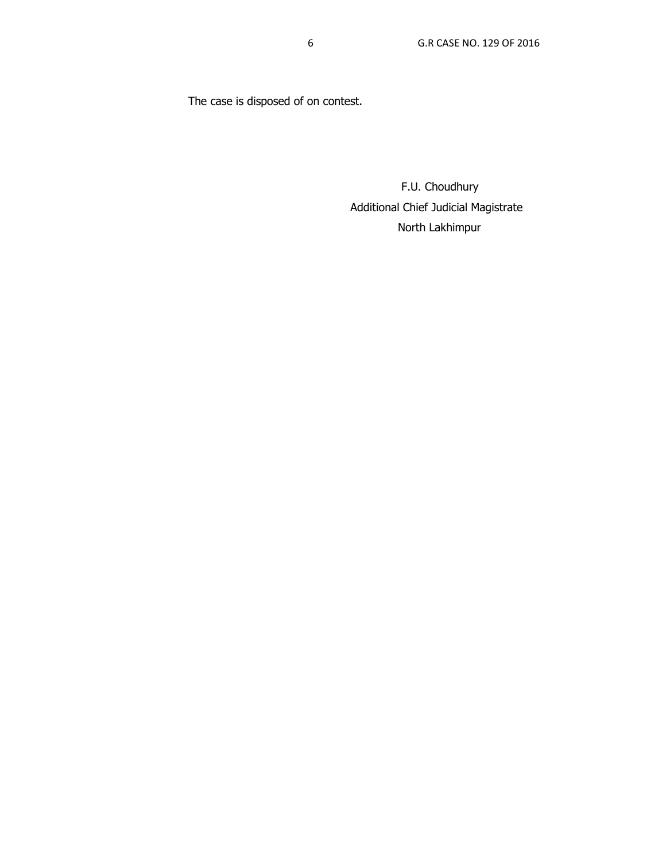The case is disposed of on contest.

 F.U. Choudhury Additional Chief Judicial Magistrate North Lakhimpur